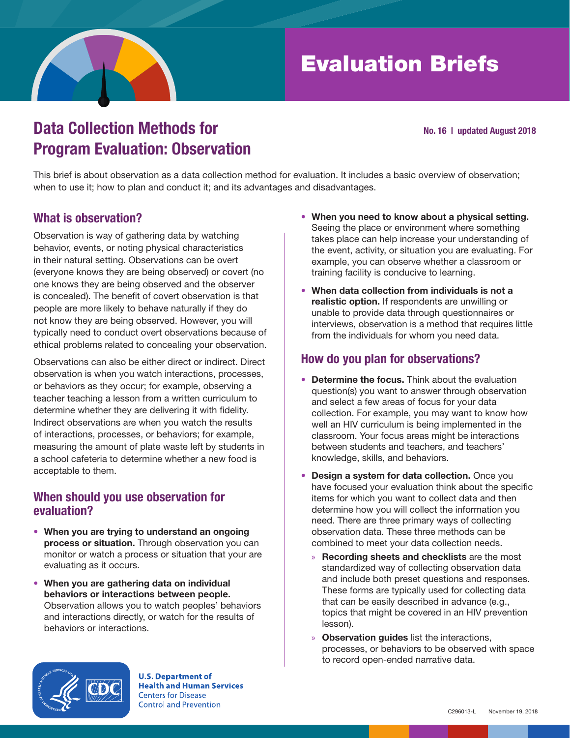

# Evaluation Briefs

#### No. 16 | updated August 2018

## Data Collection Methods for Program Evaluation: Observation

This brief is about observation as a data collection method for evaluation. It includes a basic overview of observation; when to use it; how to plan and conduct it; and its advantages and disadvantages.

## What is observation?

Observation is way of gathering data by watching behavior, events, or noting physical characteristics in their natural setting. Observations can be overt (everyone knows they are being observed) or covert (no one knows they are being observed and the observer is concealed). The benefit of covert observation is that people are more likely to behave naturally if they do not know they are being observed. However, you will typically need to conduct overt observations because of ethical problems related to concealing your observation.

Observations can also be either direct or indirect. Direct observation is when you watch interactions, processes, or behaviors as they occur; for example, observing a teacher teaching a lesson from a written curriculum to determine whether they are delivering it with fidelity. Indirect observations are when you watch the results of interactions, processes, or behaviors; for example, measuring the amount of plate waste left by students in a school cafeteria to determine whether a new food is acceptable to them.

### When should you use observation for evaluation?

- When you are trying to understand an ongoing process or situation. Through observation you can monitor or watch a process or situation that your are evaluating as it occurs.
- When you are gathering data on individual behaviors or interactions between people. Observation allows you to watch peoples' behaviors and interactions directly, or watch for the results of behaviors or interactions.
- When you need to know about a physical setting. Seeing the place or environment where something takes place can help increase your understanding of the event, activity, or situation you are evaluating. For example, you can observe whether a classroom or training facility is conducive to learning.
- When data collection from individuals is not a realistic option. If respondents are unwilling or unable to provide data through questionnaires or interviews, observation is a method that requires little from the individuals for whom you need data.

## How do you plan for observations?

- Determine the focus. Think about the evaluation question(s) you want to answer through observation and select a few areas of focus for your data collection. For example, you may want to know how well an HIV curriculum is being implemented in the classroom. Your focus areas might be interactions between students and teachers, and teachers' knowledge, skills, and behaviors.
- Design a system for data collection. Once you have focused your evaluation think about the specific items for which you want to collect data and then determine how you will collect the information you need. There are three primary ways of collecting observation data. These three methods can be combined to meet your data collection needs.
	- » Recording sheets and checklists are the most standardized way of collecting observation data and include both preset questions and responses. These forms are typically used for collecting data that can be easily described in advance (e.g., topics that might be covered in an HIV prevention lesson).
	- » Observation guides list the interactions, processes, or behaviors to be observed with space to record open-ended narrative data.



**U.S. Department of Health and Human Services Centers for Disease Control and Prevention**